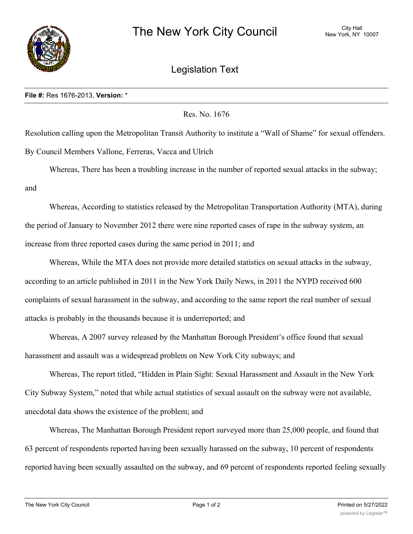

## Legislation Text

## **File #:** Res 1676-2013, **Version:** \*

Res. No. 1676

Resolution calling upon the Metropolitan Transit Authority to institute a "Wall of Shame" for sexual offenders. By Council Members Vallone, Ferreras, Vacca and Ulrich

Whereas, There has been a troubling increase in the number of reported sexual attacks in the subway; and

Whereas, According to statistics released by the Metropolitan Transportation Authority (MTA), during the period of January to November 2012 there were nine reported cases of rape in the subway system, an increase from three reported cases during the same period in 2011; and

Whereas, While the MTA does not provide more detailed statistics on sexual attacks in the subway, according to an article published in 2011 in the New York Daily News, in 2011 the NYPD received 600 complaints of sexual harassment in the subway, and according to the same report the real number of sexual attacks is probably in the thousands because it is underreported; and

Whereas, A 2007 survey released by the Manhattan Borough President's office found that sexual harassment and assault was a widespread problem on New York City subways; and

Whereas, The report titled, "Hidden in Plain Sight: Sexual Harassment and Assault in the New York City Subway System," noted that while actual statistics of sexual assault on the subway were not available, anecdotal data shows the existence of the problem; and

Whereas, The Manhattan Borough President report surveyed more than 25,000 people, and found that 63 percent of respondents reported having been sexually harassed on the subway, 10 percent of respondents reported having been sexually assaulted on the subway, and 69 percent of respondents reported feeling sexually